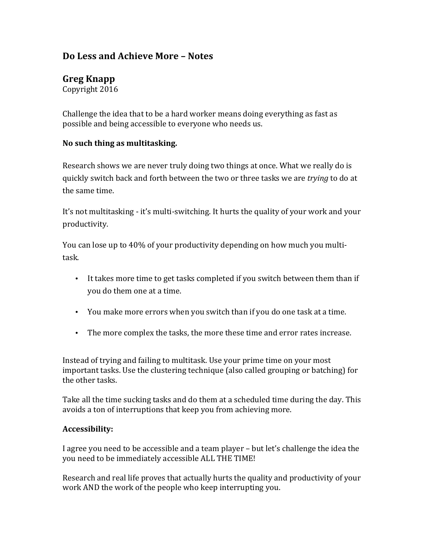# **Do Less and Achieve More – Notes**

# **Greg Knapp**

Copyright 2016

Challenge the idea that to be a hard worker means doing everything as fast as possible and being accessible to everyone who needs us.

## **No such thing as multitasking.**

Research shows we are never truly doing two things at once. What we really do is quickly switch back and forth between the two or three tasks we are *trying* to do at the same time.

It's not multitasking - it's multi-switching. It hurts the quality of your work and your productivity.

You can lose up to 40% of your productivity depending on how much you multitask. 

- It takes more time to get tasks completed if you switch between them than if you do them one at a time.
- You make more errors when you switch than if you do one task at a time.
- The more complex the tasks, the more these time and error rates increase.

Instead of trying and failing to multitask. Use your prime time on your most important tasks. Use the clustering technique (also called grouping or batching) for the other tasks.

Take all the time sucking tasks and do them at a scheduled time during the day. This avoids a ton of interruptions that keep you from achieving more.

#### **Accessibility:**

I agree you need to be accessible and a team player – but let's challenge the idea the you need to be immediately accessible ALL THE TIME!

Research and real life proves that actually hurts the quality and productivity of your work AND the work of the people who keep interrupting you.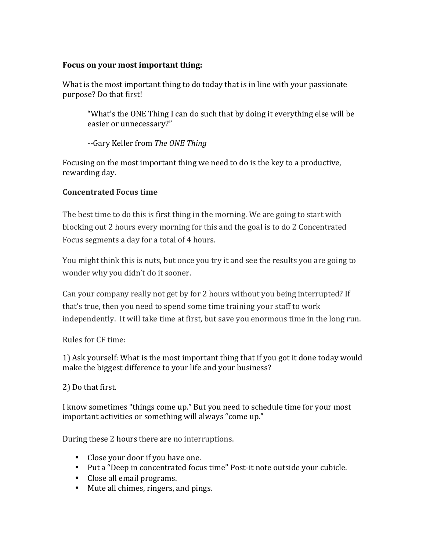## Focus on your most important thing:

What is the most important thing to do today that is in line with your passionate purpose? Do that first!

"What's the ONE Thing I can do such that by doing it everything else will be easier or unnecessary?"

--Gary Keller from *The ONE Thing*

Focusing on the most important thing we need to do is the key to a productive, rewarding day.

# **Concentrated Focus time**

The best time to do this is first thing in the morning. We are going to start with blocking out 2 hours every morning for this and the goal is to do 2 Concentrated Focus segments a day for a total of 4 hours.

You might think this is nuts, but once you try it and see the results you are going to wonder why you didn't do it sooner.

Can your company really not get by for 2 hours without you being interrupted? If that's true, then you need to spend some time training your staff to work independently. It will take time at first, but save you enormous time in the long run.

Rules for CF time:

1) Ask yourself: What is the most important thing that if you got it done today would make the biggest difference to your life and your business?

2) Do that first.

I know sometimes "things come up." But you need to schedule time for your most important activities or something will always "come up."

During these 2 hours there are no interruptions.

- Close your door if you have one.
- Put a "Deep in concentrated focus time" Post-it note outside your cubicle.
- Close all email programs.
- Mute all chimes, ringers, and pings.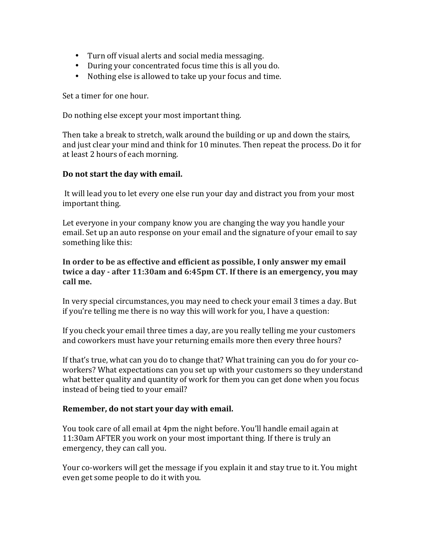- Turn off visual alerts and social media messaging.
- During your concentrated focus time this is all you do.
- Nothing else is allowed to take up your focus and time.

Set a timer for one hour.

Do nothing else except your most important thing.

Then take a break to stretch, walk around the building or up and down the stairs, and just clear your mind and think for 10 minutes. Then repeat the process. Do it for at least 2 hours of each morning.

#### Do not start the day with email.

It will lead you to let every one else run your day and distract you from your most important thing.

Let everyone in your company know you are changing the way you handle your email. Set up an auto response on your email and the signature of your email to say something like this:

In order to be as effective and efficient as possible, I only answer my email **twice a day - after 11:30am and 6:45pm CT. If there is an emergency, you may call me.**

In very special circumstances, you may need to check your email 3 times a day. But if you're telling me there is no way this will work for you, I have a question:

If you check your email three times a day, are you really telling me your customers and coworkers must have your returning emails more then every three hours?

If that's true, what can you do to change that? What training can you do for your coworkers? What expectations can you set up with your customers so they understand what better quality and quantity of work for them you can get done when you focus instead of being tied to your email?

#### Remember, do not start your day with email.

You took care of all email at 4pm the night before. You'll handle email again at 11:30am AFTER you work on your most important thing. If there is truly an emergency, they can call you.

Your co-workers will get the message if you explain it and stay true to it. You might even get some people to do it with you.